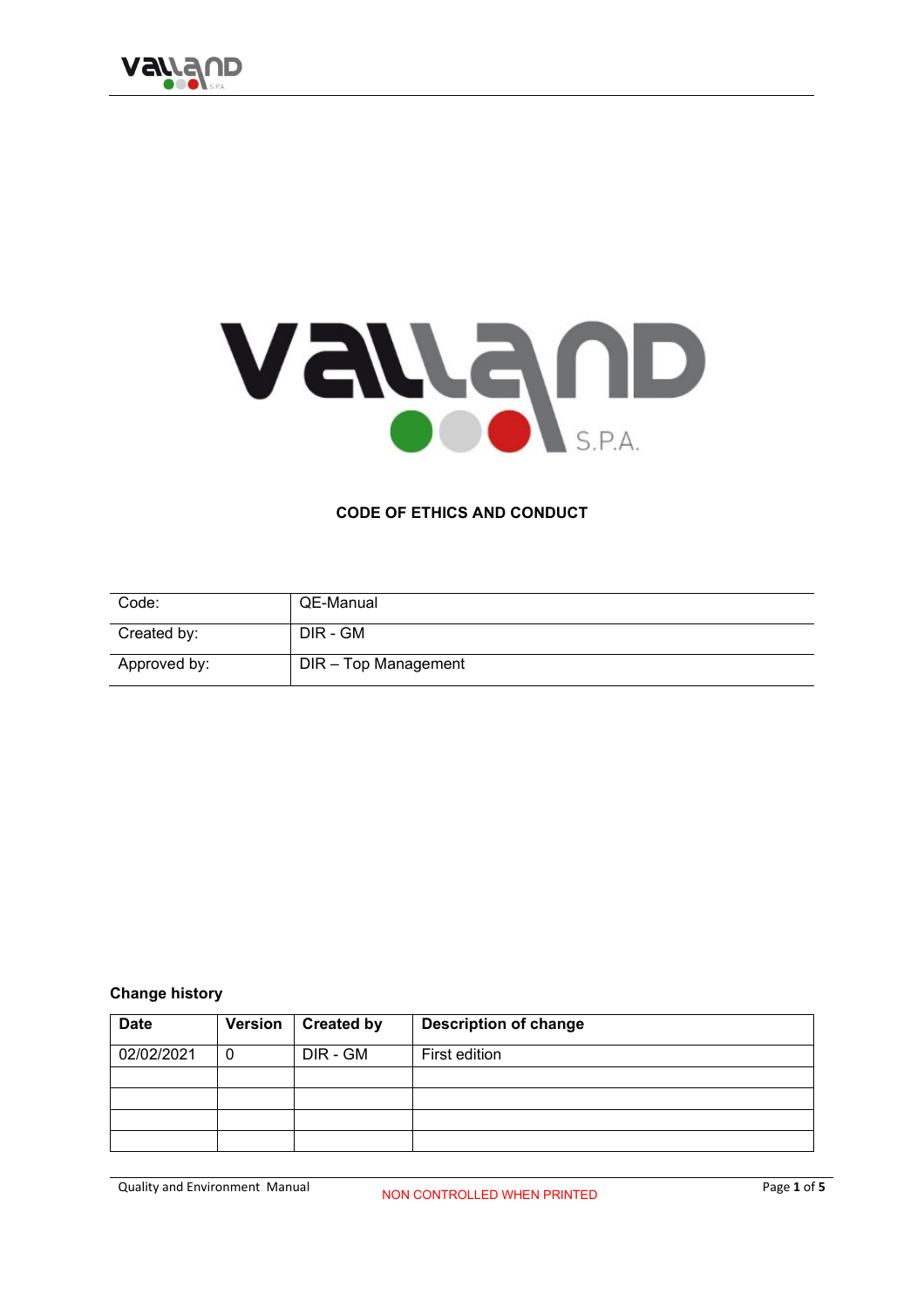

# VAVAND

#### **CODE OF ETHICS AND CONDUCT**

| Code:        | QE-Manual            |
|--------------|----------------------|
| Created by:  | DIR - GM             |
| Approved by: | DIR - Top Management |

#### **Change history**

| <b>Date</b> | <b>Version</b> | <b>Created by</b> | <b>Description of change</b> |
|-------------|----------------|-------------------|------------------------------|
| 02/02/2021  | C              | DIR - GM          | First edition                |
|             |                |                   |                              |
|             |                |                   |                              |
|             |                |                   |                              |
|             |                |                   |                              |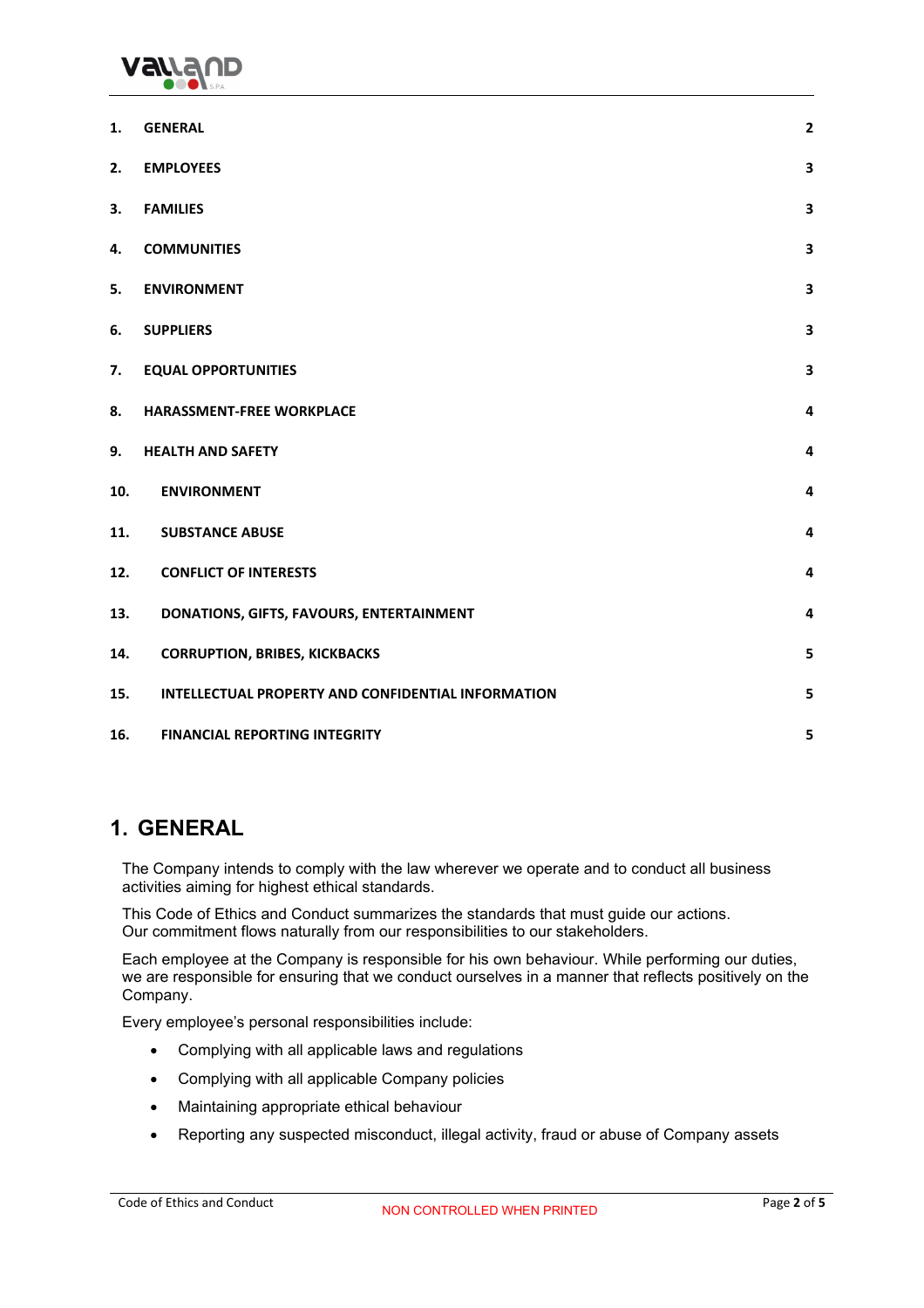

| 1.  | <b>GENERAL</b>                                     | $\mathbf 2$             |
|-----|----------------------------------------------------|-------------------------|
| 2.  | <b>EMPLOYEES</b>                                   | $\overline{\mathbf{3}}$ |
| 3.  | <b>FAMILIES</b>                                    | 3                       |
| 4.  | <b>COMMUNITIES</b>                                 | 3                       |
| 5.  | <b>ENVIRONMENT</b>                                 | $\overline{\mathbf{3}}$ |
| 6.  | <b>SUPPLIERS</b>                                   | 3                       |
| 7.  | <b>EQUAL OPPORTUNITIES</b>                         | 3                       |
| 8.  | HARASSMENT-FREE WORKPLACE                          | 4                       |
| 9.  | <b>HEALTH AND SAFETY</b>                           | $\overline{a}$          |
| 10. | <b>ENVIRONMENT</b>                                 | 4                       |
| 11. | <b>SUBSTANCE ABUSE</b>                             | $\overline{a}$          |
| 12. | <b>CONFLICT OF INTERESTS</b>                       | 4                       |
| 13. | DONATIONS, GIFTS, FAVOURS, ENTERTAINMENT           | 4                       |
| 14. | <b>CORRUPTION, BRIBES, KICKBACKS</b>               | 5                       |
| 15. | INTELLECTUAL PROPERTY AND CONFIDENTIAL INFORMATION | 5                       |
| 16. | <b>FINANCIAL REPORTING INTEGRITY</b>               | 5                       |

## **1. GENERAL**

The Company intends to comply with the law wherever we operate and to conduct all business activities aiming for highest ethical standards.

This Code of Ethics and Conduct summarizes the standards that must guide our actions. Our commitment flows naturally from our responsibilities to our stakeholders.

Each employee at the Company is responsible for his own behaviour. While performing our duties, we are responsible for ensuring that we conduct ourselves in a manner that reflects positively on the Company.

Every employee's personal responsibilities include:

- Complying with all applicable laws and regulations
- Complying with all applicable Company policies
- Maintaining appropriate ethical behaviour
- Reporting any suspected misconduct, illegal activity, fraud or abuse of Company assets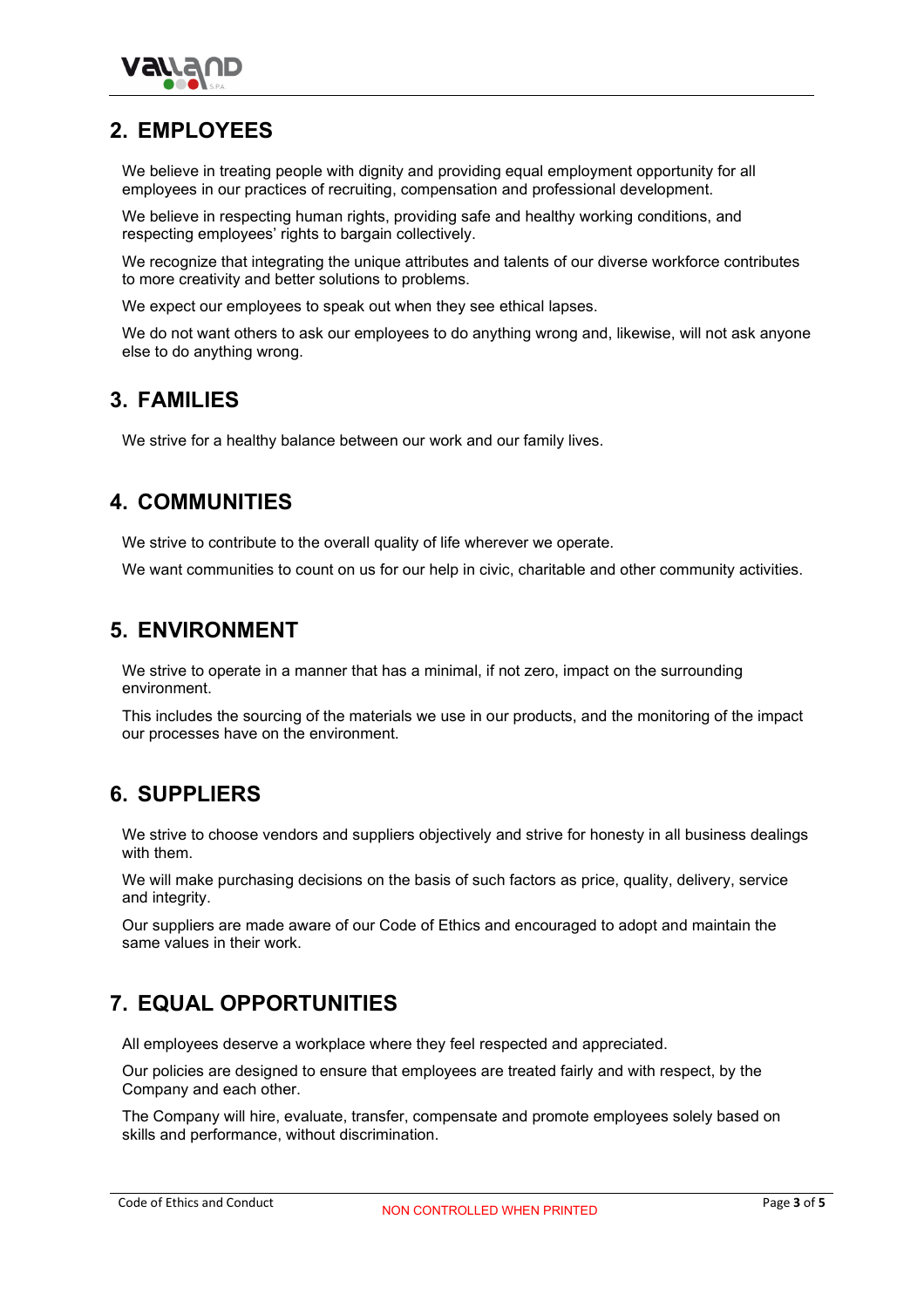

#### **2. EMPLOYEES**

We believe in treating people with dignity and providing equal employment opportunity for all employees in our practices of recruiting, compensation and professional development.

We believe in respecting human rights, providing safe and healthy working conditions, and respecting employees' rights to bargain collectively.

We recognize that integrating the unique attributes and talents of our diverse workforce contributes to more creativity and better solutions to problems.

We expect our employees to speak out when they see ethical lapses.

We do not want others to ask our employees to do anything wrong and, likewise, will not ask anyone else to do anything wrong.

#### **3. FAMILIES**

We strive for a healthy balance between our work and our family lives.

#### **4. COMMUNITIES**

We strive to contribute to the overall quality of life wherever we operate.

We want communities to count on us for our help in civic, charitable and other community activities.

## **5. ENVIRONMENT**

We strive to operate in a manner that has a minimal, if not zero, impact on the surrounding environment.

This includes the sourcing of the materials we use in our products, and the monitoring of the impact our processes have on the environment.

# **6. SUPPLIERS**

We strive to choose vendors and suppliers objectively and strive for honesty in all business dealings with them.

We will make purchasing decisions on the basis of such factors as price, quality, delivery, service and integrity.

Our suppliers are made aware of our Code of Ethics and encouraged to adopt and maintain the same values in their work.

# **7. EQUAL OPPORTUNITIES**

All employees deserve a workplace where they feel respected and appreciated.

Our policies are designed to ensure that employees are treated fairly and with respect, by the Company and each other.

The Company will hire, evaluate, transfer, compensate and promote employees solely based on skills and performance, without discrimination.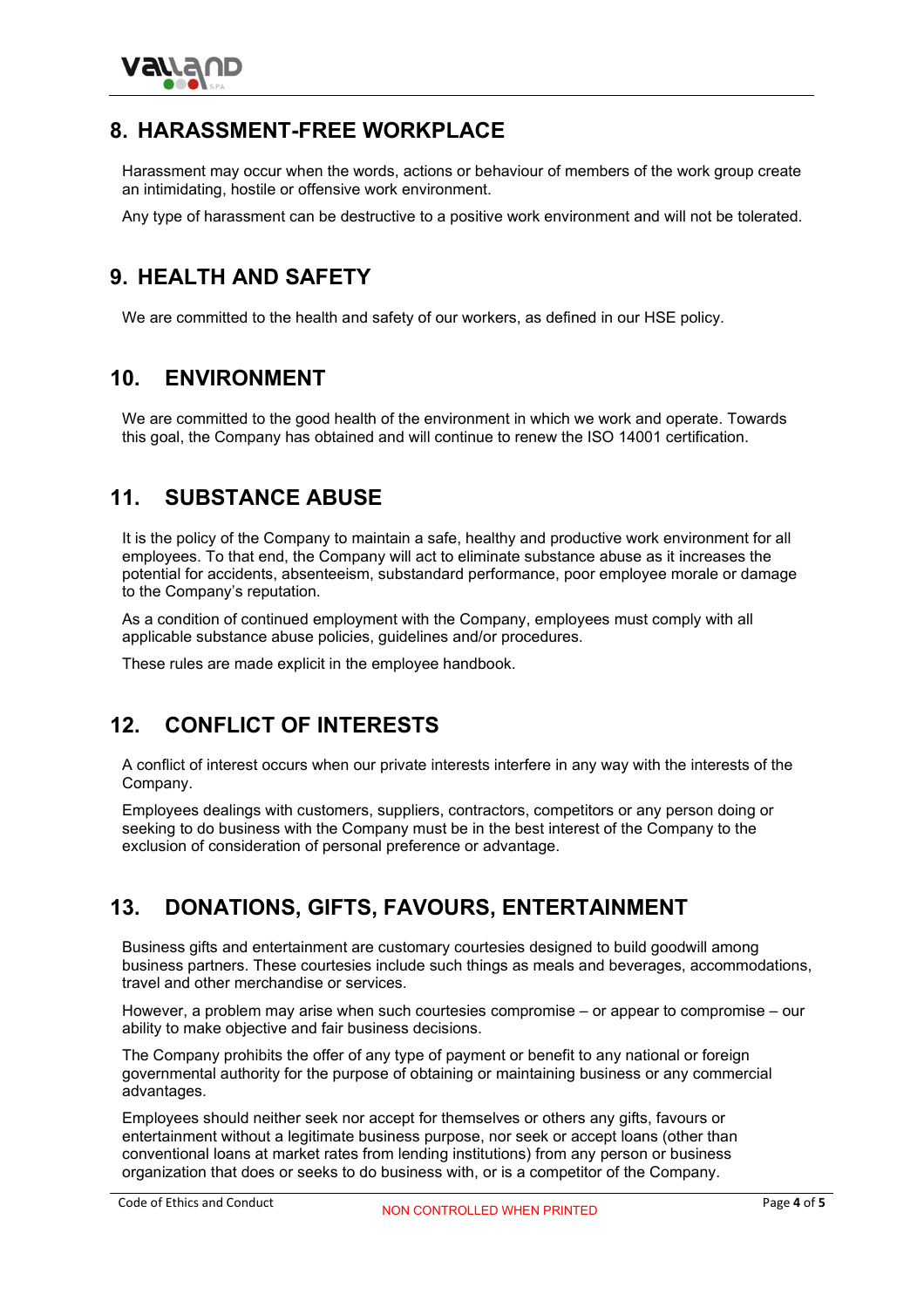

## **8. HARASSMENT-FREE WORKPLACE**

Harassment may occur when the words, actions or behaviour of members of the work group create an intimidating, hostile or offensive work environment.

Any type of harassment can be destructive to a positive work environment and will not be tolerated.

# **9. HEALTH AND SAFETY**

We are committed to the health and safety of our workers, as defined in our HSE policy.

#### **10. ENVIRONMENT**

We are committed to the good health of the environment in which we work and operate. Towards this goal, the Company has obtained and will continue to renew the ISO 14001 certification.

## **11. SUBSTANCE ABUSE**

It is the policy of the Company to maintain a safe, healthy and productive work environment for all employees. To that end, the Company will act to eliminate substance abuse as it increases the potential for accidents, absenteeism, substandard performance, poor employee morale or damage to the Company's reputation.

As a condition of continued employment with the Company, employees must comply with all applicable substance abuse policies, guidelines and/or procedures.

These rules are made explicit in the employee handbook.

#### **12. CONFLICT OF INTERESTS**

A conflict of interest occurs when our private interests interfere in any way with the interests of the Company.

Employees dealings with customers, suppliers, contractors, competitors or any person doing or seeking to do business with the Company must be in the best interest of the Company to the exclusion of consideration of personal preference or advantage.

## **13. DONATIONS, GIFTS, FAVOURS, ENTERTAINMENT**

Business gifts and entertainment are customary courtesies designed to build goodwill among business partners. These courtesies include such things as meals and beverages, accommodations, travel and other merchandise or services.

However, a problem may arise when such courtesies compromise – or appear to compromise – our ability to make objective and fair business decisions.

The Company prohibits the offer of any type of payment or benefit to any national or foreign governmental authority for the purpose of obtaining or maintaining business or any commercial advantages.

Employees should neither seek nor accept for themselves or others any gifts, favours or entertainment without a legitimate business purpose, nor seek or accept loans (other than conventional loans at market rates from lending institutions) from any person or business organization that does or seeks to do business with, or is a competitor of the Company.